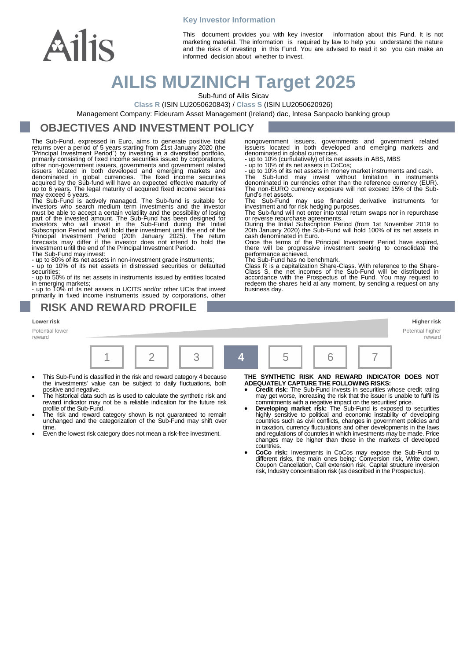# Ailis

This document provides you with key investor information about this Fund. It is not marketing material. The information is required by law to help you understand the nature and the risks of investing in this Fund. You are advised to read it so you can make an informed decision about whether to invest.

## **AILIS MUZINICH Target 2025**

**Key Investor Information**

Sub-fund of Ailis Sicav

**Class R** (ISIN LU2050620843) / **Class S** (ISIN LU2050620926)

Management Company: Fideuram Asset Management (Ireland) dac, Intesa Sanpaolo banking group

## **OBJECTIVES AND INVESTMENT POLICY**

The Sub-Fund, expressed in Euro, aims to generate positive total returns over a period of 5 years starting from 21st January 2020 (the "Principal Investment Period") by investing in a diversified portfolio, primarily consisting of fixed income securities issued by corporations,<br>other non-government issuers, governments and government related<br>issuers located in both developed and emerging markets and<br>denominated in global curr

up to 6 years. The legal maturity of acquired fixed income securities<br>may exceed 6 years.<br>The Sub-Fund is actively managed. The Sub-fund is suitable for<br>investors who search medium term investments and the investor<br>must be

The Sub-Fund may invest:

- up to 80% of its net assets in non-investment grade instruments; - up to 10% of its net assets in distressed securities or defaulted securities;

- up to 50% of its net assets in instruments issued by entities located

in emerging markets; - up to 10% of its net assets in UCITS and/or other UCIs that invest primarily in fixed income instruments issued by corporations, other

### **RISK AND REWARD PROFILE**

**Lower risk Higher risk** Potential lower

reward



- This Sub-Fund is classified in the risk and reward category 4 because the investments' value can be subject to daily fluctuations, both
- positive and negative. The historical data such as is used to calculate the synthetic risk and reward indicator may not be a reliable indication for the future risk profile of the Sub-Fund.
- The risk and reward category shown is not guaranteed to remain unchanged and the categorization of the Sub-Fund may shift over time.
- Even the lowest risk category does not mean a risk-free investment.

#### **THE SYNTHETIC RISK AND REWARD INDICATOR DOES NOT ADEQUATELY CAPTURE THE FOLLOWING RISKS:**

- **Credit risk:** The Sub-Fund invests in securities whose credit rating may get worse, increasing the risk that the issuer is unable to fulfil its commitments with a negative impact on the securities' price.
- **Developing market risk:** The Sub-Fund is exposed to securities highly sensitive to political and economic instability of developing countries such as civil conflicts, changes in government policies and in taxation, currency fluctuations and other developments in the laws and regulations of countries in which investments may be made. Price changes may be higher than those in the markets of developed
- countries. **CoCo risk:** Investments in CoCos may expose the Sub-Fund to different risks, the main ones being: Conversion risk, Write down, Coupon Cancellation, Call extension risk, Capital structure inversion risk, Industry concentration risk (as described in the Prospectus).

nongovernment issuers, governments and government related issuers located in both developed and emerging markets and denominated in global currencies. - up to 10% (cumulatively) of its net assets in ABS, MBS - up to 10% of its net assets in CoCos;

- up to 10% of its net assets in money market instruments and cash. The Sub-fund may invest without limitation in instruments denominated in currencies other than the reference currency (EUR).

The non-EURO currency exposure will not exceed 15% of the Sub-

fund's net assets.<br>The Sub-Fund may use financial derivative instruments for<br>investment and for risk hedging purposes.<br>The Sub-fund will not enter into total return swaps nor in repurchase<br>or reverse repurchase agreements.

During the Initial Subscription Period (from 1st November 2019 to 20th January 2020) the Sub-Fund will hold 100% of its net assets in

cash denominated in Euro. Once the terms of the Principal Investment Period have expired, there will be progressive investment seeking to consolidate the performance achieved.

The Sub-Fund has no benchmark.

Class R is a capitalization Share-Class. With reference to the Share-Class S, the net incomes of the Sub-Fund will be distributed in accordance with the Prospectus of the Fund. You may request to redeem the shares held at any moment, by sending a request on any business day.